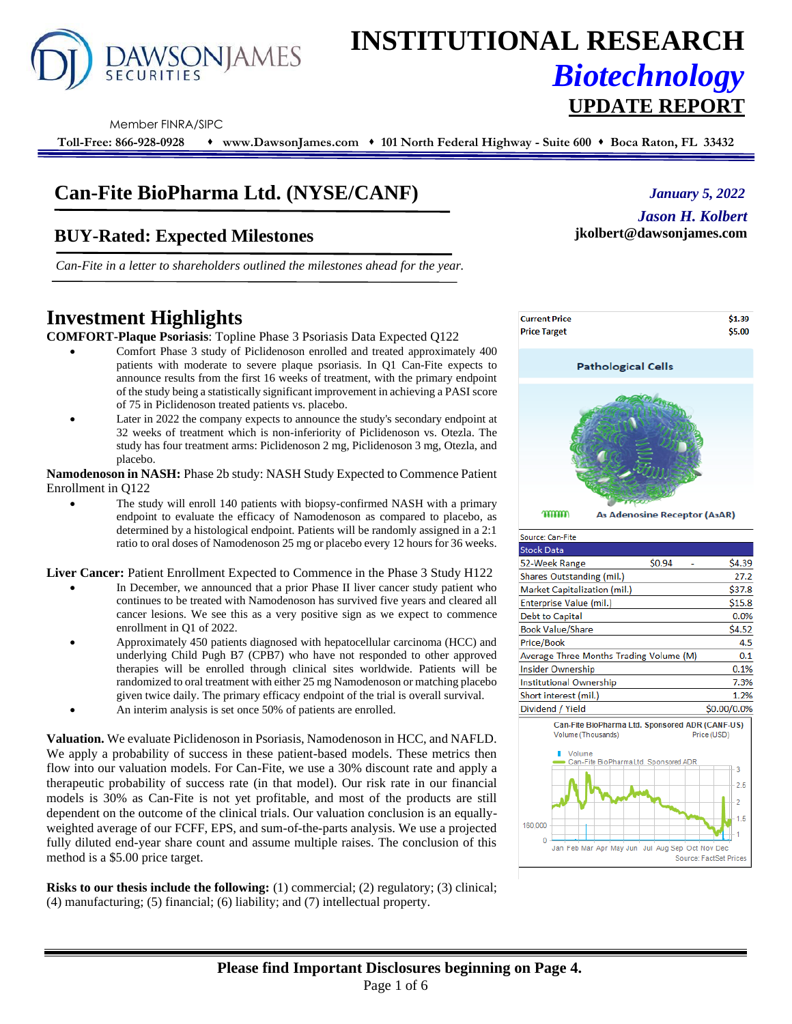

# **INSTITUTIONAL RESEARCH** *Biotechnology*

#### Member FINRA/SIPC

**Toll-Free: 866-928-0928** ⬧ **www.DawsonJames.com** ⬧ **101 North Federal Highway - Suite 600** ⬧ **Boca Raton, FL 33432**

# **Can-Fite BioPharma Ltd. (NYSE/CANF)**

## **BUY-Rated: Expected Milestones**

*Can-Fite in a letter to shareholders outlined the milestones ahead for the year.* 

## **Investment Highlights**

**COMFORT-Plaque Psoriasis**: Topline Phase 3 Psoriasis Data Expected Q122

- Comfort Phase 3 study of Piclidenoson enrolled and treated approximately 400 patients with moderate to severe plaque psoriasis. In Q1 Can-Fite expects to announce results from the first 16 weeks of treatment, with the primary endpoint of the study being a statistically significant improvement in achieving a PASI score of 75 in Piclidenoson treated patients vs. placebo.
- Later in 2022 the company expects to announce the study's secondary endpoint at 32 weeks of treatment which is non-inferiority of Piclidenoson vs. Otezla. The study has four treatment arms: Piclidenoson 2 mg, Piclidenoson 3 mg, Otezla, and placebo.

**Namodenoson in NASH:** Phase 2b study: NASH Study Expected to Commence Patient Enrollment in Q122

The study will enroll 140 patients with biopsy-confirmed NASH with a primary endpoint to evaluate the efficacy of Namodenoson as compared to placebo, as determined by a histological endpoint. Patients will be randomly assigned in a 2:1 ratio to oral doses of Namodenoson 25 mg or placebo every 12 hours for 36 weeks.

**Liver Cancer:** Patient Enrollment Expected to Commence in the Phase 3 Study H122

- In December, we announced that a prior Phase II liver cancer study patient who continues to be treated with Namodenoson has survived five years and cleared all cancer lesions. We see this as a very positive sign as we expect to commence enrollment in Q1 of 2022.
- Approximately 450 patients diagnosed with hepatocellular carcinoma (HCC) and underlying Child Pugh B7 (CPB7) who have not responded to other approved therapies will be enrolled through clinical sites worldwide. Patients will be randomized to oral treatment with either 25 mg Namodenoson or matching placebo given twice daily. The primary efficacy endpoint of the trial is overall survival.
- An interim analysis is set once 50% of patients are enrolled.

**Valuation.** We evaluate Piclidenoson in Psoriasis, Namodenoson in HCC, and NAFLD. We apply a probability of success in these patient-based models. These metrics then flow into our valuation models. For Can-Fite, we use a 30% discount rate and apply a therapeutic probability of success rate (in that model). Our risk rate in our financial models is 30% as Can-Fite is not yet profitable, and most of the products are still dependent on the outcome of the clinical trials. Our valuation conclusion is an equallyweighted average of our FCFF, EPS, and sum-of-the-parts analysis. We use a projected fully diluted end-year share count and assume multiple raises. The conclusion of this method is a \$5.00 price target.

**Risks to our thesis include the following:** (1) commercial; (2) regulatory; (3) clinical; (4) manufacturing; (5) financial; (6) liability; and (7) intellectual property.



**UPDATE REPORT**

**jkolbert@dawsonjames.com**

*January 5, 2022*

*Jason H. Kolbert*

mmm As Adenosine Receptor (A3AR)

| Source: Can-Fite                                 |        |             |
|--------------------------------------------------|--------|-------------|
| <b>Stock Data</b>                                |        |             |
| 52-Week Range                                    | \$0.94 | \$4.39      |
| Shares Outstanding (mil.)                        |        | 27.2        |
| Market Capitalization (mil.)                     |        | \$37.8      |
| Enterprise Value (mil.)                          |        | \$15.8      |
| Debt to Capital                                  |        | 0.0%        |
| <b>Book Value/Share</b>                          |        | \$4.52      |
| Price/Book                                       |        | 4.5         |
| Average Three Months Trading Volume (M)          |        | 0.1         |
| Insider Ownership                                |        | 0.1%        |
| Institutional Ownership                          |        | 7.3%        |
| Short interest (mil.)                            |        | 1.2%        |
| Dividend / Yield                                 |        | \$0.00/0.0% |
| Can-Fite BioPharma I td. Sponsored ADR (CANE-US) |        |             |

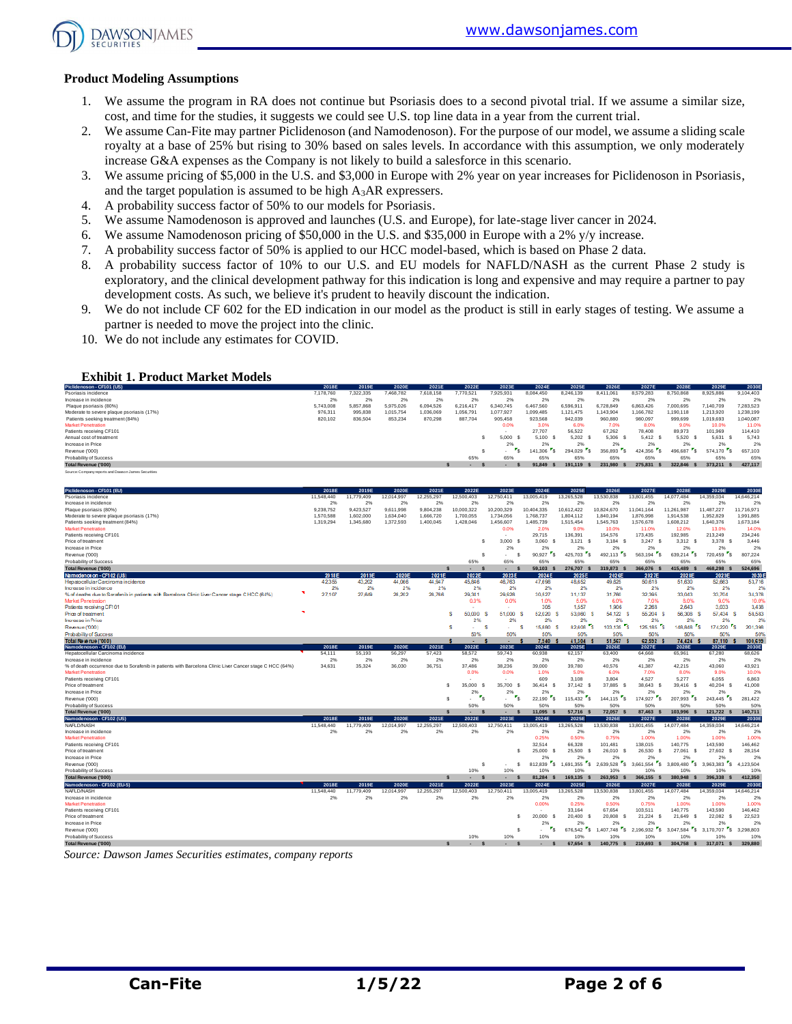

#### **Product Modeling Assumptions**

- 1. We assume the program in RA does not continue but Psoriasis does to a second pivotal trial. If we assume a similar size, cost, and time for the studies, it suggests we could see U.S. top line data in a year from the current trial.
- 2. We assume Can-Fite may partner Piclidenoson (and Namodenoson). For the purpose of our model, we assume a sliding scale royalty at a base of 25% but rising to 30% based on sales levels. In accordance with this assumption, we only moderately increase G&A expenses as the Company is not likely to build a salesforce in this scenario.
- 3. We assume pricing of \$5,000 in the U.S. and \$3,000 in Europe with 2% year on year increases for Piclidenoson in Psoriasis, and the target population is assumed to be high A3AR expressers.
- 4. A probability success factor of 50% to our models for Psoriasis.
- 5. We assume Namodenoson is approved and launches (U.S. and Europe), for late-stage liver cancer in 2024.
- 6. We assume Namodenoson pricing of \$50,000 in the U.S. and \$35,000 in Europe with a 2% y/y increase.
- 7. A probability success factor of 50% is applied to our HCC model-based, which is based on Phase 2 data.
- 8. A probability success factor of 10% to our U.S. and EU models for NAFLD/NASH as the current Phase 2 study is exploratory, and the clinical development pathway for this indication is long and expensive and may require a partner to pay development costs. As such, we believe it's prudent to heavily discount the indication.
- 9. We do not include CF 602 for the ED indication in our model as the product is still in early stages of testing. We assume a partner is needed to move the project into the clinic.
- 10. We do not include any estimates for COVID.

#### **Exhibit 1. Product Market Models**

| Piclidenoson - CF101 (US)                           | 2018E     | 2019E     | 2020E     | 2021E     | 2022E     | 2023E      | 2024E     | 2025E     | 2026E     | 2027E     | 2028E     | 2029E     | 2030E     |
|-----------------------------------------------------|-----------|-----------|-----------|-----------|-----------|------------|-----------|-----------|-----------|-----------|-----------|-----------|-----------|
| Psoriasis incidence                                 | 7.178.760 | 322.335   | 7.468.782 | 7.618.158 | 7.770.521 | 7.925.931  | 8.084.450 | 8.246.139 | 8,411,061 | 8,579,283 | 8.750.868 | 8,925,886 | 9.104.403 |
| Increase in incidence                               | 2%        | 2%        | 2%        | 2%        | 2%        | 2%         | 2%        | 2%        | 2%        | 2%        | 2%        | 2%        | 2%        |
| Plaque psoriasis (80%)                              | 5.743.008 | 5.857.868 | 5.975.026 | 6.094.526 | 6.216.417 | 6,340,745  | 6.467.560 | 6,596.91  | 6.728.849 | 6.863.426 | 000.695   | 7.140.709 | 7.283.523 |
| Moderate to severe plaque psoriasis (17%)           | 976,311   | 995.838   | 1.015.754 | 1.036.069 | 1.056.79  | 1.077.927  | 1,099,485 | 1.121.475 | 1,143,904 | 166,782   | ,190,118  | 1.213.920 | 1.238.199 |
| Patients seeking treatment (84%)                    | 820,102   | 836,504   | 853,234   | 870,298   | 887.704   | 905,458    | 923.568   | 942,039   | 960,880   | 980,097   | 999,699   | 1,019,693 | 1,040,087 |
| <b>Market Penetration</b>                           |           |           |           |           |           | 0.0%       | 3.0%      | 6.0%      | 7.0%      | 8.0%      | 9.0%      | 10.0%     | 11.0%     |
| Patients receiving CF101                            |           |           |           |           |           |            | 27.707    | 56,522    | 67.262    | 78,408    | 89.973    | 101.969   | 114,410   |
| Annual cost of treatment                            |           |           |           |           |           | $5,000$ \$ | 5.100     | 5.202     | 5.306     | 5.412 S   | 5.520     | 5.631     | 5.743     |
| Increase in Price                                   |           |           |           |           |           | 2%         | 2%        | 2%        | 2%        | 2%        | 2%        | 2%        | 2%        |
| Revenue ('000)                                      |           |           |           |           |           | . .        | 141,306   | 294.029   | 356,893   | 424.356   | 496.687   | 574.170 S | 657.103   |
| Probability of Success                              |           |           |           |           | 65%       | 65%        | 65%       | 65%       | 65%       | 65%       | 65%       | 65%       | 65%       |
| Total Revenue ('000)                                |           |           |           |           |           |            | 91.849    | 191.119   | 231.980   | 275.831   | 322.846   | 373.211   | 427,117   |
| Source: Company reports and Dawson James Securities |           |           |           |           |           |            |           |           |           |           |           |           |           |

| Piclidenoson - CF101 (EU)                                                                               | 2018E      | 2019E      | 2020E      | 2021E        | 2022E                  | 2023E                                               | 2024E                             | 2025E                                | 2026E                                  | 2027E                              | 2028E                                | 2029E                                | 2030E          |
|---------------------------------------------------------------------------------------------------------|------------|------------|------------|--------------|------------------------|-----------------------------------------------------|-----------------------------------|--------------------------------------|----------------------------------------|------------------------------------|--------------------------------------|--------------------------------------|----------------|
| Psoriasis incidence                                                                                     | 11,548,440 | 11,779,409 | 12.014.997 | 12,255,297   | 12.500.403             | 12.750.411                                          | 13,005,419                        | 13,265,528                           | 13,530,838                             | 13,801,455                         | 14.077.484                           | 14,359,034                           | 14,646.214     |
| Increase in incidence                                                                                   | 2%         | 2%         | 2%         | 2%           | 2%                     | 2%                                                  | 2%                                | 2%                                   | 2%                                     | 2%                                 | 2%                                   | 2%                                   | 2%             |
| Plague psoriasis (80%)                                                                                  | 9.238.752  | 9.423.527  | 9.611.998  | 9.804.238    | 10.000.322             | 10.200.329                                          | 10.404.335                        | 10.612.422                           | 10.824.670                             | 11.041.164                         | 11.261.987                           | 11,487,227                           | 11.716.971     |
| Moderate to severe plaque psoriasis (17%)                                                               | 1,570,588  | 1,602,000  | 1,634,040  | 1,666,720    | 1,700,055              | 1,734,056                                           | 1,768,737                         | 1,804,112                            | 1,840,194                              | 1,876,998                          | 1,914,538                            | 1,952,829                            | 1,991,885      |
| Patients seeking treatment (84%)                                                                        | 1,319,294  | 1,345,680  | 1,372,593  | 1,400,045    | 1,428,046              | 1,456,607                                           | 1,485,739                         | 1,515,454                            | 1,545,763                              | 1,576,678                          | 1,608,212                            | 1,640,376                            | 1,673,184      |
| <b>Market Penetration</b>                                                                               |            |            |            |              |                        | 0.0%                                                | 2.0%                              | 9.0%                                 | 10.0%                                  | 11.0%                              | 12.0%                                | 13.0%                                | 14.0%          |
| Patients receiving CF101                                                                                |            |            |            |              |                        |                                                     | 29.715                            | 136,391                              | 154,576                                | 173,435                            | 192,985                              | 213,249                              | 234,246        |
| Price of treatment                                                                                      |            |            |            |              | s                      | 3.000<br>- \$                                       | 3.060 \$                          | $3,121$ \$                           | $3,184$ \$                             | 3,247<br>s                         | 3.312 S                              | 3.378 S                              | 3.446          |
| Increase in Price                                                                                       |            |            |            |              |                        | 2%                                                  | 2%                                | 2%                                   | 2%                                     | 2%                                 | 2%                                   | 2%                                   | 2%             |
| Revenue ('000)                                                                                          |            |            |            |              | s                      | \$.<br>$\overline{\phantom{a}}$                     | $\mathbf{r}_\mathsf{S}$<br>90.927 | $\mathbf{r}_\mathbf{S}$<br>425,703   | $\mathbf{r}_\mathbf{S}$<br>492.113     | $\mathbf{r}_\mathbf{S}$<br>563,194 | 639,214 5                            | 720,459 \$                           | 807,224        |
| Probability of Success                                                                                  |            |            |            |              | 65%                    | 65%                                                 | 65%                               | 65%                                  | 65%                                    | 65%                                | 65%                                  | 65%                                  | 65%            |
| Total Revenue ('000)                                                                                    |            |            |            | $\mathbf{s}$ | $\mathbf{s}$<br>$\sim$ | $\mathbf{s}$<br>$\sim$                              | $59,103$ \$                       | 276,707 \$                           | 319,873 \$                             | 366,076 \$                         | 415,489 \$                           | 468.298 \$                           | 524,696        |
| Namodenos on - CF1 02 (US)                                                                              | 2018E      | 2019E      | 2020E      | 2021E        | 2022E                  | 2023E                                               | 2024E                             | 2025E                                | 2026E                                  | 2027E                              | 2028E                                | 2029E                                | 20305          |
| Hepatocellular Carcinoma incidence                                                                      | 42,355     | 43,202     | 44,066     | 44.947       | 45,846                 | 46,763                                              | 47,698                            | 48,652                               | 49.625                                 | 50,618                             | 51,630                               | 52,663                               | 53,716         |
| Increase in incidence                                                                                   | 2%         | 2%         | 2%         | 2%           | 2%                     | 2%                                                  | 2%                                | 2%                                   | 2%                                     | 2%                                 | 2%                                   | 2%                                   | 2%             |
| % of deaths due to Sorafenib in patients with Barcelona Clinic Liver Cancer stage CHCC (64%)            | 27,107     | 27,649     | 28,202     | 28,766       | 29,341<br>0.0%         | 29,928<br>0.0%                                      | 30,527                            | 31.137<br>5.0%                       | 31,760<br>6.0%                         | 32,395                             | 33,043                               | 33,704<br>9.0%                       | 34,378         |
| Market Penetration<br>Patients receiving CF101                                                          |            |            |            |              |                        |                                                     | 1.0%<br>305                       | 1,557                                | 1,906                                  | 7.0%<br>2,268                      | 8.0%<br>2.643                        | 3.033                                | 10.0%<br>3,438 |
|                                                                                                         | ×          |            |            |              |                        |                                                     |                                   |                                      |                                        |                                    |                                      |                                      |                |
| Price of treatment<br><b>Increase</b> in Price                                                          |            |            |            |              | 50,000<br>s<br>2%      | 51,000<br>2%                                        | 52.020<br>s<br>2%                 | 53,060<br>s<br>2%                    | 54.122 S<br>2%                         | 55.204 S<br>2%                     | 56,308<br>2%                         | 57,434<br>s<br>2%                    | 58,583<br>2%   |
| Revenue ('000)                                                                                          |            |            |            |              | s<br>a.                | s<br>$\sim$                                         | 15,880<br>s                       | 82.608<br>s                          | 103,135                                | ™s.<br>125,185 S                   | 148,848                              | 174,220 S<br>r.                      | 201,398        |
| Probability of Success                                                                                  |            |            |            |              | 50%                    | 50%                                                 | 50%                               | 50%                                  | 50%                                    | 50%                                | 50%                                  | 50%                                  | 50%            |
| Total Revenue ('000)                                                                                    |            |            |            |              | ٠                      | ٠                                                   | 7.940                             | 41.304 \$                            | 51,567 \$                              | 62.592 \$                          | 74.424                               | 87,110                               | 100,639        |
| Namodenoson - CF102 (EU)                                                                                | 2018E      | 2019E      | 2020E      | 2021E        | 2022E                  | 2023E                                               | 2024E                             | 2025E                                | 2026E                                  | 2027E                              | 2028E                                | 2029E                                | 2030E          |
| Hepatocellular Carcinoma incidence                                                                      | 54,111     | 55,193     | 56,297     | 57,423       | 58,572                 | 59,743                                              | 60,938                            | 62,157                               | 63,400                                 | 64,668                             | 65,961                               | 67,280                               | 68,626         |
| Increase in incidence                                                                                   | 2%         | 2%         | 2%         | 2%           | 2%                     | 2%                                                  | 2%                                | 2%                                   | 2%                                     | 2%                                 | 2%                                   | 2%                                   | 2%             |
| % of death occurrence due to Sorafenib in patients with Barcelona Clinic Liver Cancer stage C HCC (64%) | 34,631     | 35.324     | 36,030     | 36.751       | 37,486                 | 38.236                                              | 39,000                            | 39,780                               | 40,576                                 | 41,387                             | 42.215                               | 43,060                               | 43,921         |
| <b>Market Penetration</b>                                                                               |            |            |            |              | 0.0%                   | 0.0%                                                | 1.0%                              | 5.0%                                 | 6.0%                                   | 7.0%                               | 8.0%                                 | 9.0%                                 | 10.0%          |
| Patients receiving CF101                                                                                |            |            |            |              |                        |                                                     | 609                               | 3,108                                | 3.804                                  | 4,527                              | 5.277                                | 6.055                                | 6,863          |
| Price of treatment                                                                                      |            |            |            | s            | 35,000<br>-S           | 35,700<br>s                                         | 36.414<br>- 5                     | 37,142 \$                            | 37,885<br>- S                          | 38,643<br>- 5                      | 39.416 S                             | 40,204 \$                            | 41,008         |
| Increase in Price                                                                                       |            |            |            |              | 2%                     | 2%                                                  | 2%                                | 2%                                   | 2%                                     | 2%                                 | 2%                                   | 2%                                   | 2%             |
| Revenue ('000)                                                                                          |            |            |            | s            | $r_{\rm s}$<br>ă.      | $\mathbf{r}_\mathbf{S}$<br>$\overline{\phantom{a}}$ | $r_{\rm s}$<br>22.190             | •s.<br>115.432                       | $\mathbf{r}_{\mathsf{S}}$<br>144,115   | 174.927 S                          | $\mathbf{r}_\mathbf{S}$<br>207.993   | $243,445$ \$                         | 281.422        |
| Probability of Success                                                                                  |            |            |            |              | 50%                    | 50%                                                 | 50%                               | 50%                                  | 50%                                    | 50%                                | 50%                                  | 50%                                  | 50%            |
| <b>Total Revenue ('000)</b>                                                                             |            |            |            | $\mathbf{s}$ | <b>S</b><br>×.         | $\mathbf{s}$<br>$\sim$                              | 11.095 \$                         | 57.716 \$                            | 72.057 \$                              | 87,463 \$                          | 103.996 \$                           | 121.722 \$                           | 140,711        |
| Namodenoson - CF102 (US)                                                                                | 2018E      | 2019E      | 2020E      | 2021E        | 2022E                  | 2023E                                               | 2024E                             | 2025E                                | 2026E                                  | 2027E                              | 2028E                                | 2029E                                | 2030E          |
| NAFLD/NASH                                                                                              | 11,548,440 | 11,779,409 | 12,014,997 | 12,255,297   | 12,500,403             | 12,750,411                                          | 13,005,419                        | 13,265,528                           | 13,530,838                             | 13,801,455                         | 14,077,484                           | 14,359,034                           | 14,646,214     |
| Increase in incidence                                                                                   | 2%         | 2%         | 2%         | 2%           | 2%                     | 2%                                                  | 2%                                | 2%                                   | 2%                                     | 2%                                 | 2%                                   | 2%                                   | 2%             |
| <b>Market Penetration</b>                                                                               |            |            |            |              |                        |                                                     | 0.25%                             | 0.50%                                | 0.75%                                  | 1.00%                              | 1.00%                                | 1.00%                                | 1.00%          |
| Patients receiving CF101                                                                                |            |            |            |              |                        |                                                     | 32.514                            | 66,328                               | 101,481                                | 138,015                            | 140,775                              | 143,590                              | 146,462        |
| Price of treatment                                                                                      |            |            |            |              |                        | s                                                   | 25,000 \$                         | 25,500 \$                            | 26,010 \$                              | 26,530 \$                          | 27,061<br>- S                        | 27,602 \$                            | 28,154         |
| Increase in Price                                                                                       |            |            |            |              |                        |                                                     | 2%                                | 2%                                   | 2%                                     | 2%                                 | 2%                                   | 2%                                   | 2%             |
| Revenue ('000)                                                                                          |            |            |            |              | s                      | s                                                   | $\cdot$ $\cdot$<br>812.839        | $\cdot$ $\cdot$ $\cdot$<br>1.691.355 | $\mathbf{r}_\mathbf{S}$<br>2.639.528   | $3.661.554$ S                      | $\mathbf{r}_\mathbf{S}$<br>3,809,480 | $\mathbf{r}_\mathbf{S}$<br>3.963.383 | 4.123.504      |
| Probability of Success                                                                                  |            |            |            |              | 10%                    | 10%                                                 | 10%                               | 10%                                  | 10%                                    | 10%                                | 10%                                  | 10%                                  | 10%            |
| <b>Total Revenue ('000)</b>                                                                             |            |            |            | $\mathbf{s}$ | $\sim$<br>s            | $\sim$<br>s                                         | 81.284 \$                         | 169.135 \$                           | 263.953 \$                             | 366,155 S                          | 380.948 \$                           | 396,338 \$                           | 412,350        |
| Namodenoson - CF102 (EU-5)                                                                              | 2018E      | 2019E      | 2020E      | 2021E        | 2022E                  | 2023E                                               | 2024E                             | 2025E                                | 2026E                                  | 2027E                              | 2028E                                | 2029E                                | 2030E          |
| NAFLD/NASH                                                                                              | 11,548,440 | 11,779,409 | 12.014.997 | 12,255,297   | 12,500,403             | 12.750.411                                          | 13,005,419                        | 13,265,528                           | 13,530,838                             | 13,801,455                         | 14,077,484                           | 14,359,034                           | 14,646,214     |
| Increase in incidence                                                                                   | 2%         | 2%         | 2%         | 2%           | 2%                     | 2%                                                  | 2%                                | 2%                                   | 2%                                     | 2%                                 | 2%                                   | 2%                                   | 2%             |
| <b>Market Penetration</b>                                                                               |            |            |            |              |                        |                                                     | 0.00%                             | 0.25%                                | 0.50%                                  | 0.75%                              | 1.00%                                | 1.00%                                | 1.00%          |
| Patients receiving CF101                                                                                |            |            |            |              |                        |                                                     |                                   | 33,164                               | 67,654                                 | 103,511                            | 140,775                              | 143,590                              | 146,462        |
| Price of treatment                                                                                      |            |            |            |              |                        | s                                                   | 20,000 \$                         | 20.400 S                             | 20,808<br>s                            | 21,224 \$                          | 21.649<br>- S                        | 22,082<br>-S                         | 22,523         |
| Increase in Price                                                                                       |            |            |            |              |                        |                                                     | 2%                                | 2%                                   | 2%                                     | 2%                                 | 2%                                   | 2%                                   | 2%             |
| Revenue ('000)                                                                                          |            |            |            |              |                        | s                                                   | $\mathbf{r}_\mathsf{S}$           | 676,542                              | S 1.407.748<br>$\mathbf{r}_\mathbf{S}$ | 2,196,932 S                        | $\cdot$ $\cdot$ $\cdot$<br>3,047,584 | "s<br>3,170,707                      | 3.298.803      |
| Probability of Success                                                                                  |            |            |            |              | 10%                    | 10%                                                 | 10%                               | 10%                                  | 10%                                    | 10%                                | 10%                                  | 10%                                  | 10%            |
| <b>Total Revenue ('000)</b>                                                                             |            |            |            | $\mathbf{s}$ | $\mathbf{s}$<br>٠      | s                                                   | $\mathbf{s}$                      | 67.654 \$                            | 140.775 \$                             | 219.693 S                          | 304.758 \$                           | 317.071 \$                           | 329,880        |

*Source: Dawson James Securities estimates, company reports*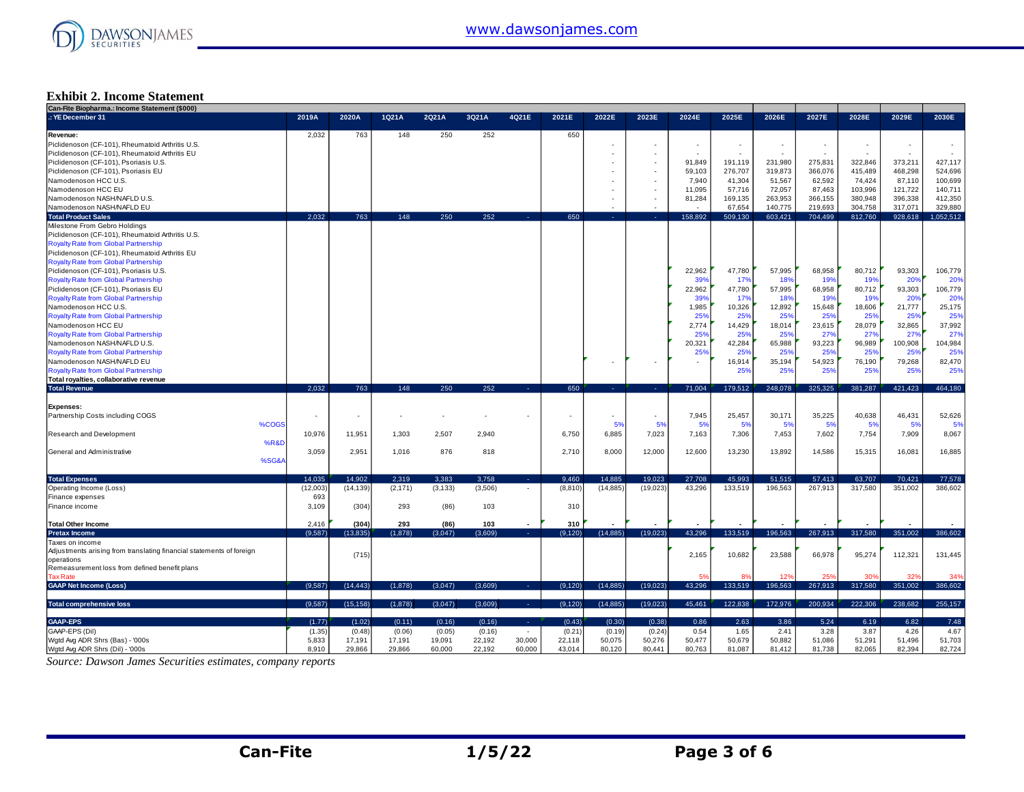

#### **Exhibit 2. Income Statement**

| Can-Fite Biopharma.: Income Statement (\$000)                        |          |           |          |          |         |                          |          |           |           |                          |                          |         |                 |         |         |           |
|----------------------------------------------------------------------|----------|-----------|----------|----------|---------|--------------------------|----------|-----------|-----------|--------------------------|--------------------------|---------|-----------------|---------|---------|-----------|
| .: YE December 31                                                    | 2019A    | 2020A     | 1Q21A    | 2Q21A    | 3Q21A   | 4Q21E                    | 2021E    | 2022E     | 2023E     | 2024E                    | 2025E                    | 2026E   | 2027E           | 2028E   | 2029E   | 2030E     |
| Revenue:                                                             | 2.032    | 763       | 148      | 250      | 252     |                          | 650      |           |           |                          |                          |         |                 |         |         |           |
| Piclidenoson (CF-101), Rheumatoid Arthritis U.S.                     |          |           |          |          |         |                          |          |           |           | $\overline{\phantom{a}}$ | $\overline{\phantom{a}}$ |         | $\sim$          |         | $\sim$  |           |
| Piclidenoson (CF-101), Rheumatoid Arthritis EU                       |          |           |          |          |         |                          |          |           |           |                          | ÷                        |         |                 |         | ÷       |           |
|                                                                      |          |           |          |          |         |                          |          |           |           |                          |                          |         |                 |         |         |           |
| Piclidenoson (CF-101), Psoriasis U.S.                                |          |           |          |          |         |                          |          |           |           | 91,849                   | 191,119                  | 231,980 | 275,831         | 322,846 | 373,211 | 427,117   |
| Piclidenoson (CF-101), Psoriasis EU                                  |          |           |          |          |         |                          |          |           |           | 59,103                   | 276,707                  | 319,873 | 366,076         | 415,489 | 468,298 | 524,696   |
| Namodenoson HCC U.S.                                                 |          |           |          |          |         |                          |          |           |           | 7,940                    | 41,304                   | 51,567  | 62,592          | 74,424  | 87,110  | 100,699   |
| Namodenoson HCC EU                                                   |          |           |          |          |         |                          |          |           |           | 11,095                   | 57,716                   | 72,057  | 87,463          | 103,996 | 121,722 | 140,711   |
| Namodenoson NASH/NAFLD U.S.                                          |          |           |          |          |         |                          |          |           |           | 81.284                   | 169,135                  | 263,953 | 366,155         | 380,948 | 396,338 | 412,350   |
| Namodenoson NASH/NAFLD EU                                            |          |           |          |          |         |                          |          |           |           |                          | 67,654                   | 140,775 | 219.693         | 304,758 | 317,071 | 329,880   |
| <b>Total Product Sales</b>                                           | 2.032    | 763       | 148      | 250      | 252     |                          | 650      |           |           | 158.892                  | 509.130                  | 603.421 | 704.499         | 812,760 | 928,618 | 1.052.512 |
|                                                                      |          |           |          |          |         |                          |          |           |           |                          |                          |         |                 |         |         |           |
| Milestone From Gebro Holdings                                        |          |           |          |          |         |                          |          |           |           |                          |                          |         |                 |         |         |           |
| Piclidenoson (CF-101), Rheumatoid Arthritis U.S.                     |          |           |          |          |         |                          |          |           |           |                          |                          |         |                 |         |         |           |
| <b>Royalty Rate from Global Partnership</b>                          |          |           |          |          |         |                          |          |           |           |                          |                          |         |                 |         |         |           |
| Piclidenoson (CF-101), Rheumatoid Arthritis EU                       |          |           |          |          |         |                          |          |           |           |                          |                          |         |                 |         |         |           |
| Royalty Rate from Global Partnership                                 |          |           |          |          |         |                          |          |           |           |                          |                          |         |                 |         |         |           |
| Piclidenoson (CF-101), Psoriasis U.S.                                |          |           |          |          |         |                          |          |           |           | 22.962                   | 47.780                   | 57,995  | 68,958          | 80.712  | 93,303  | 106,779   |
| <b>Royalty Rate from Global Partnership</b>                          |          |           |          |          |         |                          |          |           |           | 399                      | 17%                      | 189     | 19 <sup>°</sup> | 19%     | 20%     | 20%       |
| Piclidenoson (CF-101), Psoriasis EU                                  |          |           |          |          |         |                          |          |           |           | 22.962                   | 47,780                   | 57,995  | 68,958          | 80,712  | 93,303  | 106,779   |
|                                                                      |          |           |          |          |         |                          |          |           |           |                          |                          |         |                 |         |         |           |
| <b>Royalty Rate from Global Partnership</b>                          |          |           |          |          |         |                          |          |           |           | 39%                      | 17%                      | 18%     | 19%             | 19%     | 20%     | 20%       |
| Namodenoson HCC U.S.                                                 |          |           |          |          |         |                          |          |           |           | 1,985                    | 10,326                   | 12,892  | 15,648          | 18,606  | 21,777  | 25,175    |
| Royalty Rate from Global Partnership                                 |          |           |          |          |         |                          |          |           |           | 25%                      | 25%                      | 25%     | 25%             | 25%     | 25%     | 25%       |
| Namodenoson HCC EU                                                   |          |           |          |          |         |                          |          |           |           | 2,774                    | 14,429                   | 18,014  | 23,615          | 28,079  | 32,865  | 37,992    |
| <b>Royalty Rate from Global Partnership</b>                          |          |           |          |          |         |                          |          |           |           | 25%                      | 25%                      | 25%     | 27%             | 27%     | 27%     | 27%       |
| Namodenoson NASH/NAFLD U.S.                                          |          |           |          |          |         |                          |          |           |           | 20,321                   | 42,284                   | 65,988  | 93,223          | 96,989  | 100,908 | 104,984   |
| <b>Royalty Rate from Global Partnership</b>                          |          |           |          |          |         |                          |          |           |           | 25%                      | 25%                      | 25%     | 25%             | 25%     | 25%     | 25%       |
| Namodenoson NASH/NAFLD EU                                            |          |           |          |          |         |                          |          |           |           |                          | 16,914                   | 35,194  | 54,923          | 76,190  | 79,268  | 82,470    |
|                                                                      |          |           |          |          |         |                          |          |           |           |                          |                          |         |                 |         |         |           |
| <b>Royalty Rate from Global Partnership</b>                          |          |           |          |          |         |                          |          |           |           |                          | 25%                      | 25%     | 25%             | 25%     | 25%     | 25%       |
| Total royalties, collaborative revenue                               |          |           |          |          |         |                          |          |           |           |                          |                          |         |                 |         |         |           |
| <b>Total Revenue</b>                                                 | 2,032    | 763       | 148      | 250      | 252     | . .                      | 650      | .         | - 40      | 71,004                   | 179,512                  | 248,078 | 325,325         | 381,287 | 421,423 | 464,180   |
|                                                                      |          |           |          |          |         |                          |          |           |           |                          |                          |         |                 |         |         |           |
| Expenses:                                                            |          |           |          |          |         |                          |          |           |           |                          |                          |         |                 |         |         |           |
| Partnership Costs including COGS                                     | ٠        | ٠         |          |          |         |                          |          |           | $\sim$    | 7,945                    | 25,457                   | 30,171  | 35,225          | 40,638  | 46,431  | 52,626    |
| %COGS                                                                |          |           |          |          |         |                          |          | 5%        | 5%        | 5%                       | 5%                       | 5%      | 5%              | 5%      | 5%      | 5%        |
| Research and Development                                             | 10,976   | 11,951    | 1.303    | 2,507    | 2.940   |                          | 6,750    | 6,885     | 7,023     | 7.163                    | 7,306                    | 7,453   | 7,602           | 7,754   | 7,909   | 8,067     |
| <b>%R&amp;D</b>                                                      |          |           |          |          |         |                          |          |           |           |                          |                          |         |                 |         |         |           |
|                                                                      |          |           |          |          |         |                          |          |           |           |                          |                          |         |                 |         |         |           |
| General and Administrative                                           | 3,059    | 2,951     | 1,016    | 876      | 818     |                          | 2.710    | 8,000     | 12,000    | 12,600                   | 13,230                   | 13,892  | 14.586          | 15,315  | 16,081  | 16,885    |
| %SG&A                                                                |          |           |          |          |         |                          |          |           |           |                          |                          |         |                 |         |         |           |
|                                                                      |          |           |          |          |         |                          |          |           |           |                          |                          |         |                 |         |         |           |
| <b>Total Expenses</b>                                                | 14.035   | 14.902    | 2,319    | 3.383    | 3,758   | $\sim$                   | 9,460    | 14.885    | 19,023    | 27,708                   | 45,993                   | 51,515  | 57,413          | 63,707  | 70,421  | 77,578    |
| Operating Income (Loss)                                              | (12,003) | (14, 139) | (2, 171) | (3, 133) | (3,506) | $\overline{\phantom{a}}$ | (8, 810) | (14, 885) | (19, 023) | 43,296                   | 133,519                  | 196,563 | 267,913         | 317,580 | 351,002 | 386,602   |
| Finance expenses                                                     | 693      |           |          |          |         |                          |          |           |           |                          |                          |         |                 |         |         |           |
| Finance income                                                       | 3,109    | (304)     | 293      | (86)     | 103     |                          | 310      |           |           |                          |                          |         |                 |         |         |           |
|                                                                      |          |           |          |          |         |                          |          |           |           |                          |                          |         |                 |         |         |           |
| <b>Total Other Income</b>                                            | 2,416    | (304)     | 293      | (86)     | 103     |                          | 310      |           |           |                          |                          |         |                 |         |         |           |
|                                                                      |          |           |          |          |         |                          |          |           |           |                          |                          |         |                 |         |         |           |
| <b>Pretax Income</b>                                                 | (9,587)  | (13, 835) | (1,878)  | (3,047)  | (3,609) | 14.1                     | (9, 120) | (14, 885) | (19,023)  | 43,296                   | 133,519                  | 196,563 | 267,913         | 317,580 | 351,002 | 386,602   |
| Taxes on income                                                      |          |           |          |          |         |                          |          |           |           |                          |                          |         |                 |         |         |           |
| Adjustments arising from translating financial statements of foreign |          | (715)     |          |          |         |                          |          |           |           | 2,165                    | 10,682                   | 23,588  | 66,978          | 95,274  | 112,321 | 131,445   |
| operations                                                           |          |           |          |          |         |                          |          |           |           |                          |                          |         |                 |         |         |           |
| Remeasurement loss from defined benefit plans                        |          |           |          |          |         |                          |          |           |           |                          |                          |         |                 |         |         |           |
| <b>Tax Rate</b>                                                      |          |           |          |          |         |                          |          |           |           | 5%                       |                          | 12%     | 25 <sup>c</sup> |         | 32%     | 34%       |
| <b>GAAP Net Income (Loss)</b>                                        | (9.587)  | (14.443)  | (1,878)  | (3,047)  | (3,609) | . .                      | (9, 120) | (14, 885) | (19,023)  | 43.296                   | 133.519                  | 196.563 | 267,913         | 317,580 | 351,002 | 386,602   |
|                                                                      |          |           |          |          |         |                          |          |           |           |                          |                          |         |                 |         |         |           |
| <b>Total comprehensive loss</b>                                      | (9.587)  | (15, 158) | (1,878)  | (3,047)  | (3,609) | <b>Service</b>           | (9, 120) | (14, 885) | (19,023)  | 45,461                   | 122,838                  | 172,976 | 200,934         | 222,306 | 238.682 | 255,157   |
|                                                                      |          |           |          |          |         |                          |          |           |           |                          |                          |         |                 |         |         |           |
| <b>GAAP-EPS</b>                                                      | (1.77)   | (1.02)    | (0.11)   | (0.16)   | (0.16)  | х.                       | (0.43)   | (0.30)    | (0.38)    | 0.86                     | 2.63                     | 3.86    | 5.24            | 6.19    | 6.82    | 7.48      |
|                                                                      |          |           |          | (0.05)   |         | $\sim$                   | (0.21)   |           | (0.24)    |                          | 1.65                     | 2.41    | 3.28            | 3.87    | 4.26    | 4.67      |
| GAAP-EPS (Dil)                                                       | (1.35)   | (0.48)    | (0.06)   |          | (0.16)  |                          |          | (0.19)    |           | 0.54                     |                          |         |                 |         |         |           |
| Wgtd Avg ADR Shrs (Bas) - '000s                                      | 5,833    | 17,191    | 17,191   | 19,091   | 22,192  | 30,000                   | 22,118   | 50,075    | 50,276    | 50,477                   | 50,679                   | 50,882  | 51,086          | 51,291  | 51,496  | 51,703    |
| Wgtd Avg ADR Shrs (Dil) - '000s                                      | 8.910    | 29,866    | 29,866   | 60,000   | 22,192  | 60,000                   | 43,014   | 80,120    | 80,441    | 80,763                   | 81,087                   | 81,412  | 81,738          | 82,065  | 82.394  | 82,724    |

*Source: Dawson James Securities estimates, company reports*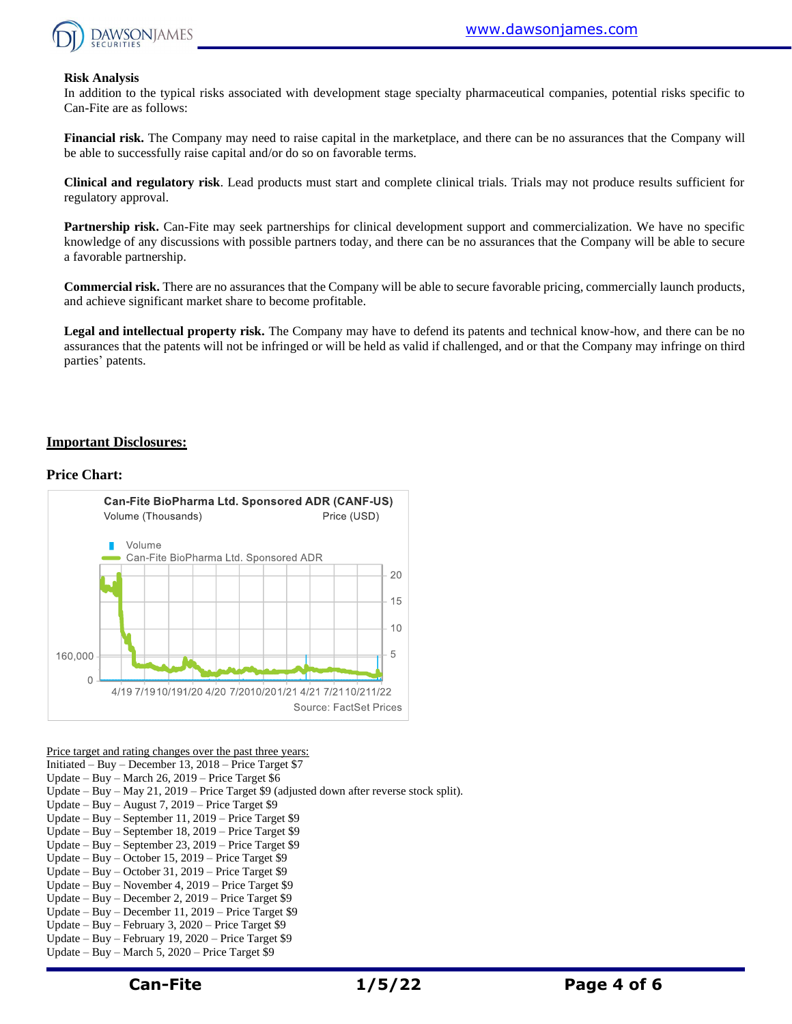

#### **Risk Analysis**

In addition to the typical risks associated with development stage specialty pharmaceutical companies, potential risks specific to Can-Fite are as follows:

**Financial risk.** The Company may need to raise capital in the marketplace, and there can be no assurances that the Company will be able to successfully raise capital and/or do so on favorable terms.

**Clinical and regulatory risk**. Lead products must start and complete clinical trials. Trials may not produce results sufficient for regulatory approval.

**Partnership risk.** Can-Fite may seek partnerships for clinical development support and commercialization. We have no specific knowledge of any discussions with possible partners today, and there can be no assurances that the Company will be able to secure a favorable partnership.

**Commercial risk.** There are no assurances that the Company will be able to secure favorable pricing, commercially launch products, and achieve significant market share to become profitable.

**Legal and intellectual property risk.** The Company may have to defend its patents and technical know-how, and there can be no assurances that the patents will not be infringed or will be held as valid if challenged, and or that the Company may infringe on third parties' patents.

#### **Important Disclosures:**

#### **Price Chart:**



Price target and rating changes over the past three years:

Initiated – Buy – December 13, 2018 – Price Target \$7

Update – Buy – March 26, 2019 – Price Target \$6

Update – Buy – May 21, 2019 – Price Target \$9 (adjusted down after reverse stock split).

- Update Buy August 7, 2019 Price Target \$9
- Update Buy September 11, 2019 Price Target \$9
- Update Buy September 18, 2019 Price Target \$9
- Update Buy September 23, 2019 Price Target \$9
- Update Buy October 15, 2019 Price Target \$9
- Update Buy October 31, 2019 Price Target \$9 Update – Buy – November 4, 2019 – Price Target \$9
- Update Buy December 2, 2019 Price Target \$9
- Update Buy December 11, 2019 Price Target \$9
- Update Buy February 3, 2020 Price Target \$9
- Update Buy February 19, 2020 Price Target \$9
- Update Buy March 5, 2020 Price Target \$9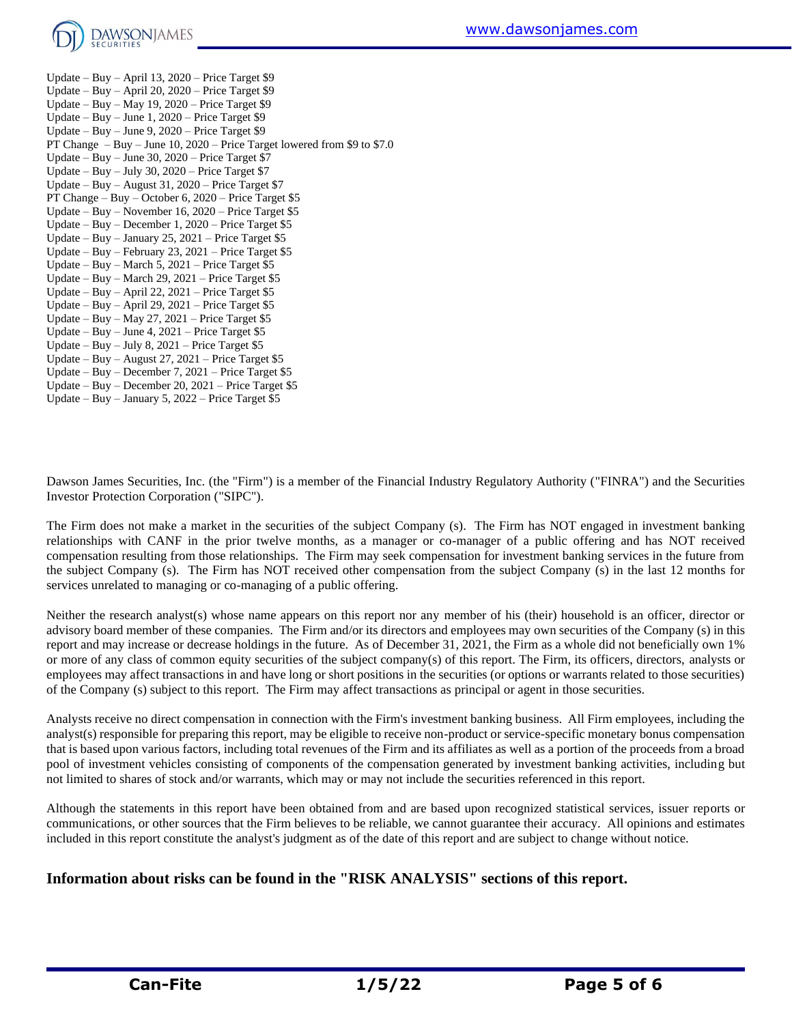

Update – Buy – April 13, 2020 – Price Target \$9 Update – Buy – April 20, 2020 – Price Target \$9 Update – Buy – May 19, 2020 – Price Target \$9 Update – Buy – June 1, 2020 – Price Target \$9 Update – Buy – June 9, 2020 – Price Target \$9 PT Change – Buy – June 10, 2020 – Price Target lowered from \$9 to \$7.0 Update – Buy – June 30, 2020 – Price Target \$7 Update – Buy – July 30, 2020 – Price Target \$7 Update – Buy – August 31, 2020 – Price Target \$7 PT Change – Buy – October 6, 2020 – Price Target \$5 Update – Buy – November 16, 2020 – Price Target \$5 Update – Buy – December 1, 2020 – Price Target \$5 Update – Buy – January 25, 2021 – Price Target  $$5$ Update – Buy – February 23, 2021 – Price Target  $$5$ Update – Buy – March 5, 2021 – Price Target \$5 Update – Buy – March 29, 2021 – Price Target \$5 Update – Buy – April 22, 2021 – Price Target \$5 Update – Buy – April 29, 2021 – Price Target \$5 Update – Buy – May 27, 2021 – Price Target  $$5$ Update – Buy – June 4, 2021 – Price Target \$5 Update – Buy – July 8,  $2021$  – Price Target \$5 Update – Buy – August 27, 2021 – Price Target  $$5$ Update – Buy – December 7, 2021 – Price Target \$5 Update – Buy – December 20, 2021 – Price Target \$5 Update – Buy – January 5, 2022 – Price Target \$5

Dawson James Securities, Inc. (the "Firm") is a member of the Financial Industry Regulatory Authority ("FINRA") and the Securities Investor Protection Corporation ("SIPC").

The Firm does not make a market in the securities of the subject Company (s). The Firm has NOT engaged in investment banking relationships with CANF in the prior twelve months, as a manager or co-manager of a public offering and has NOT received compensation resulting from those relationships. The Firm may seek compensation for investment banking services in the future from the subject Company (s). The Firm has NOT received other compensation from the subject Company (s) in the last 12 months for services unrelated to managing or co-managing of a public offering.

Neither the research analyst(s) whose name appears on this report nor any member of his (their) household is an officer, director or advisory board member of these companies. The Firm and/or its directors and employees may own securities of the Company (s) in this report and may increase or decrease holdings in the future. As of December 31, 2021, the Firm as a whole did not beneficially own 1% or more of any class of common equity securities of the subject company(s) of this report. The Firm, its officers, directors, analysts or employees may affect transactions in and have long or short positions in the securities (or options or warrants related to those securities) of the Company (s) subject to this report. The Firm may affect transactions as principal or agent in those securities.

Analysts receive no direct compensation in connection with the Firm's investment banking business. All Firm employees, including the analyst(s) responsible for preparing this report, may be eligible to receive non-product or service-specific monetary bonus compensation that is based upon various factors, including total revenues of the Firm and its affiliates as well as a portion of the proceeds from a broad pool of investment vehicles consisting of components of the compensation generated by investment banking activities, including but not limited to shares of stock and/or warrants, which may or may not include the securities referenced in this report.

Although the statements in this report have been obtained from and are based upon recognized statistical services, issuer reports or communications, or other sources that the Firm believes to be reliable, we cannot guarantee their accuracy. All opinions and estimates included in this report constitute the analyst's judgment as of the date of this report and are subject to change without notice.

### **Information about risks can be found in the "RISK ANALYSIS" sections of this report.**